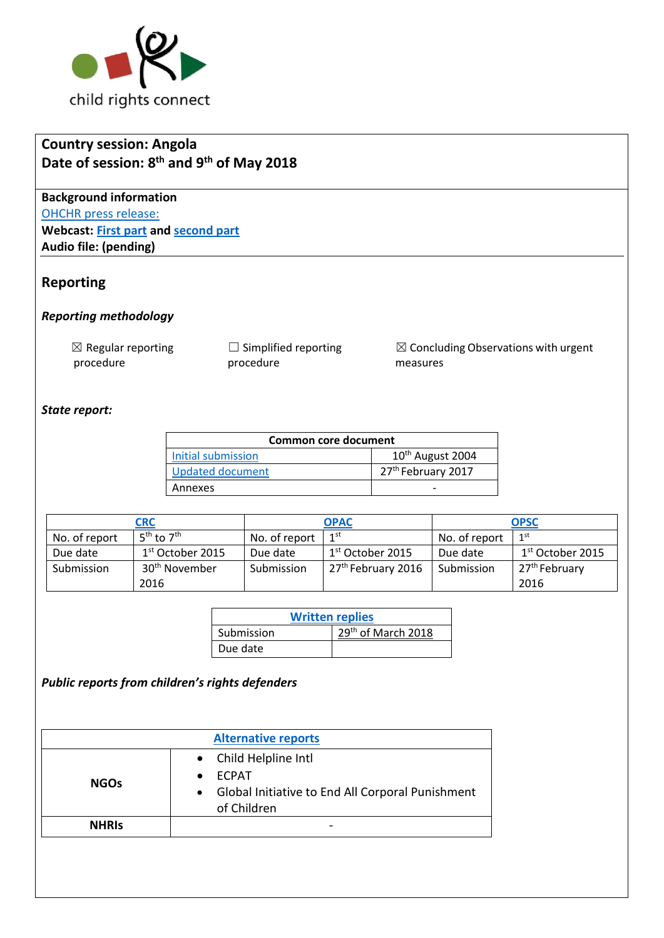

# **Country session: Angola Date of session: 8 th and 9th of May 2018**

**Background information** [OHCHR press release:](https://www.unog.ch/unog/website/news_media.nsf/(httpNewsByYear_en)/91B97459D5A7D5F8C125828F0059E429?OpenDocument) **Webcast: [First part](http://webtv.un.org/meetings-events/human-rights-treaty-bodies/committee-on-the-rights-of-the-child/watch/consideration-of-angola-opscopac-2288th-meeting-78th-session-committee-on-the-rights-of-the-child/5787973736001) and [second part](http://webtv.un.org/meetings-events/human-rights-treaty-bodies/committee-on-the-rights-of-the-child/watch/-consideration-of-angola-contd-2287th-meeting-78th-session-committee-on-the-rights-of-the-child/5785971452001) Audio file: (pending)**

### **Reporting**

### *Reporting methodology*

 $\boxtimes$  Regular reporting procedure

 $\Box$  Simplified reporting procedure

☒ Concluding Observations with urgent measures

### *State report:*

| <b>Common core document</b> |                                |  |  |  |
|-----------------------------|--------------------------------|--|--|--|
| Initial submission          | 10 <sup>th</sup> August 2004   |  |  |  |
| <b>Updated document</b>     | 27 <sup>th</sup> February 2017 |  |  |  |
| Annexes                     |                                |  |  |  |

| <b>CRC</b>    |                                    |               | <b>OPAC</b>                    |               | <b>OPSC</b>                  |  |
|---------------|------------------------------------|---------------|--------------------------------|---------------|------------------------------|--|
| No. of report | 5 <sup>th</sup> to 7 <sup>th</sup> | No. of report | 1 <sup>st</sup>                | No. of report | 1 <sup>st</sup>              |  |
| Due date      | $1st$ October 2015                 | Due date      | 1 <sup>st</sup> October 2015   | Due date      | 1 <sup>st</sup> October 2015 |  |
| Submission    | 30 <sup>th</sup> November          | Submission    | 27 <sup>th</sup> February 2016 | Submission    | 27 <sup>th</sup> February    |  |
|               | 2016                               |               |                                |               | 2016                         |  |

| <b>Written replies</b> |                    |  |
|------------------------|--------------------|--|
| Submission             | 29th of March 2018 |  |
| Due date               |                    |  |

*Public reports from children's rights defenders* 

| <b>Alternative reports</b> |                                                                                                          |  |  |
|----------------------------|----------------------------------------------------------------------------------------------------------|--|--|
| <b>NGOs</b>                | • Child Helpline Intl<br><b>FCPAT</b><br>Global Initiative to End All Corporal Punishment<br>of Children |  |  |
| <b>NHRIS</b>               |                                                                                                          |  |  |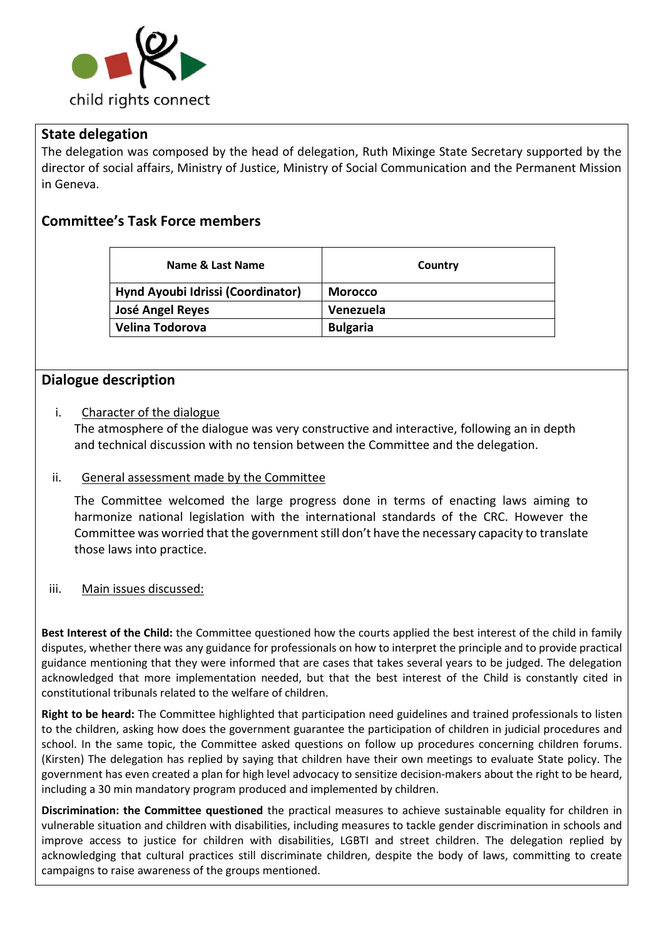

## **State delegation**

The delegation was composed by the head of delegation, Ruth Mixinge State Secretary supported by the director of social affairs, Ministry of Justice, Ministry of Social Communication and the Permanent Mission in Geneva.

# **Committee's Task Force members**

| Name & Last Name                  | Country         |
|-----------------------------------|-----------------|
| Hynd Ayoubi Idrissi (Coordinator) | <b>Morocco</b>  |
| <b>José Angel Reyes</b>           | Venezuela       |
| <b>Velina Todorova</b>            | <b>Bulgaria</b> |

## **Dialogue description**

### i. Character of the dialogue

The atmosphere of the dialogue was very constructive and interactive, following an in depth and technical discussion with no tension between the Committee and the delegation.

#### ii. General assessment made by the Committee

The Committee welcomed the large progress done in terms of enacting laws aiming to harmonize national legislation with the international standards of the CRC. However the Committee was worried that the government still don't have the necessary capacity to translate those laws into practice.

#### iii. Main issues discussed:

**Best Interest of the Child:** the Committee questioned how the courts applied the best interest of the child in family disputes, whether there was any guidance for professionals on how to interpret the principle and to provide practical guidance mentioning that they were informed that are cases that takes several years to be judged. The delegation acknowledged that more implementation needed, but that the best interest of the Child is constantly cited in constitutional tribunals related to the welfare of children.

**Right to be heard:** The Committee highlighted that participation need guidelines and trained professionals to listen to the children, asking how does the government guarantee the participation of children in judicial procedures and school. In the same topic, the Committee asked questions on follow up procedures concerning children forums. (Kirsten) The delegation has replied by saying that children have their own meetings to evaluate State policy. The government has even created a plan for high level advocacy to sensitize decision-makers about the right to be heard, including a 30 min mandatory program produced and implemented by children.

**Discrimination: the Committee questioned** the practical measures to achieve sustainable equality for children in vulnerable situation and children with disabilities, including measures to tackle gender discrimination in schools and improve access to justice for children with disabilities, LGBTI and street children. The delegation replied by acknowledging that cultural practices still discriminate children, despite the body of laws, committing to create campaigns to raise awareness of the groups mentioned.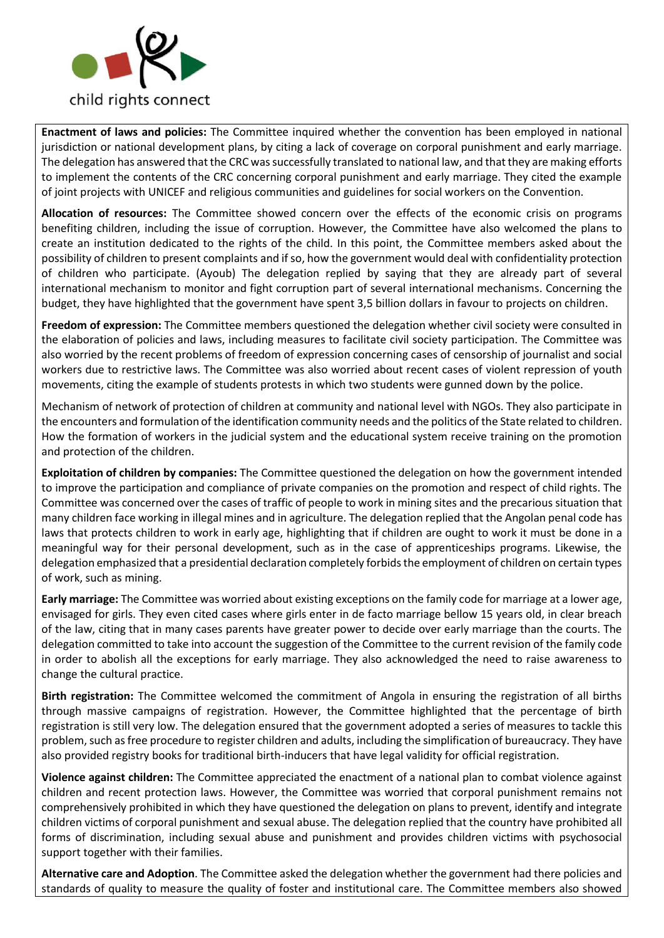

**Enactment of laws and policies:** The Committee inquired whether the convention has been employed in national jurisdiction or national development plans, by citing a lack of coverage on corporal punishment and early marriage. The delegation has answered that the CRC was successfully translated to national law, and that they are making efforts to implement the contents of the CRC concerning corporal punishment and early marriage. They cited the example of joint projects with UNICEF and religious communities and guidelines for social workers on the Convention.

**Allocation of resources:** The Committee showed concern over the effects of the economic crisis on programs benefiting children, including the issue of corruption. However, the Committee have also welcomed the plans to create an institution dedicated to the rights of the child. In this point, the Committee members asked about the possibility of children to present complaints and if so, how the government would deal with confidentiality protection of children who participate. (Ayoub) The delegation replied by saying that they are already part of several international mechanism to monitor and fight corruption part of several international mechanisms. Concerning the budget, they have highlighted that the government have spent 3,5 billion dollars in favour to projects on children.

**Freedom of expression:** The Committee members questioned the delegation whether civil society were consulted in the elaboration of policies and laws, including measures to facilitate civil society participation. The Committee was also worried by the recent problems of freedom of expression concerning cases of censorship of journalist and social workers due to restrictive laws. The Committee was also worried about recent cases of violent repression of youth movements, citing the example of students protests in which two students were gunned down by the police.

Mechanism of network of protection of children at community and national level with NGOs. They also participate in the encounters and formulation of the identification community needs and the politics of the State related to children. How the formation of workers in the judicial system and the educational system receive training on the promotion and protection of the children.

**Exploitation of children by companies:** The Committee questioned the delegation on how the government intended to improve the participation and compliance of private companies on the promotion and respect of child rights. The Committee was concerned over the cases of traffic of people to work in mining sites and the precarious situation that many children face working in illegal mines and in agriculture. The delegation replied that the Angolan penal code has laws that protects children to work in early age, highlighting that if children are ought to work it must be done in a meaningful way for their personal development, such as in the case of apprenticeships programs. Likewise, the delegation emphasized that a presidential declaration completely forbids the employment of children on certain types of work, such as mining.

**Early marriage:** The Committee was worried about existing exceptions on the family code for marriage at a lower age, envisaged for girls. They even cited cases where girls enter in de facto marriage bellow 15 years old, in clear breach of the law, citing that in many cases parents have greater power to decide over early marriage than the courts. The delegation committed to take into account the suggestion of the Committee to the current revision of the family code in order to abolish all the exceptions for early marriage. They also acknowledged the need to raise awareness to change the cultural practice.

**Birth registration:** The Committee welcomed the commitment of Angola in ensuring the registration of all births through massive campaigns of registration. However, the Committee highlighted that the percentage of birth registration is still very low. The delegation ensured that the government adopted a series of measures to tackle this problem, such as free procedure to register children and adults, including the simplification of bureaucracy. They have also provided registry books for traditional birth-inducers that have legal validity for official registration.

**Violence against children:** The Committee appreciated the enactment of a national plan to combat violence against children and recent protection laws. However, the Committee was worried that corporal punishment remains not comprehensively prohibited in which they have questioned the delegation on plans to prevent, identify and integrate children victims of corporal punishment and sexual abuse. The delegation replied that the country have prohibited all forms of discrimination, including sexual abuse and punishment and provides children victims with psychosocial support together with their families.

**Alternative care and Adoption**. The Committee asked the delegation whether the government had there policies and standards of quality to measure the quality of foster and institutional care. The Committee members also showed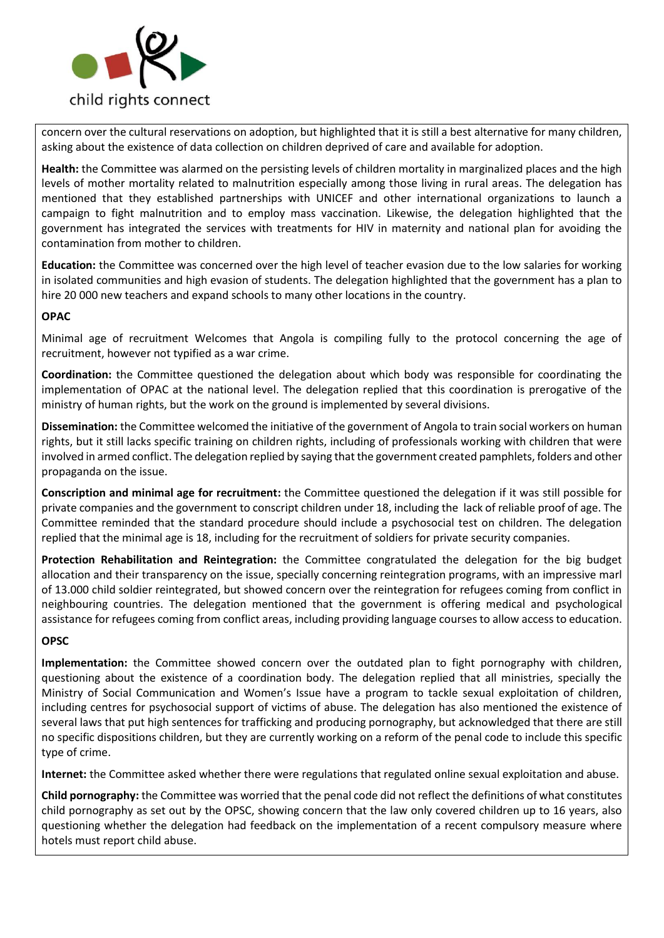

concern over the cultural reservations on adoption, but highlighted that it is still a best alternative for many children, asking about the existence of data collection on children deprived of care and available for adoption.

**Health:** the Committee was alarmed on the persisting levels of children mortality in marginalized places and the high levels of mother mortality related to malnutrition especially among those living in rural areas. The delegation has mentioned that they established partnerships with UNICEF and other international organizations to launch a campaign to fight malnutrition and to employ mass vaccination. Likewise, the delegation highlighted that the government has integrated the services with treatments for HIV in maternity and national plan for avoiding the contamination from mother to children.

**Education:** the Committee was concerned over the high level of teacher evasion due to the low salaries for working in isolated communities and high evasion of students. The delegation highlighted that the government has a plan to hire 20 000 new teachers and expand schools to many other locations in the country.

#### **OPAC**

Minimal age of recruitment Welcomes that Angola is compiling fully to the protocol concerning the age of recruitment, however not typified as a war crime.

**Coordination:** the Committee questioned the delegation about which body was responsible for coordinating the implementation of OPAC at the national level. The delegation replied that this coordination is prerogative of the ministry of human rights, but the work on the ground is implemented by several divisions.

**Dissemination:** the Committee welcomed the initiative of the government of Angola to train social workers on human rights, but it still lacks specific training on children rights, including of professionals working with children that were involved in armed conflict. The delegation replied by saying that the government created pamphlets, folders and other propaganda on the issue.

**Conscription and minimal age for recruitment:** the Committee questioned the delegation if it was still possible for private companies and the government to conscript children under 18, including the lack of reliable proof of age. The Committee reminded that the standard procedure should include a psychosocial test on children. The delegation replied that the minimal age is 18, including for the recruitment of soldiers for private security companies.

**Protection Rehabilitation and Reintegration:** the Committee congratulated the delegation for the big budget allocation and their transparency on the issue, specially concerning reintegration programs, with an impressive marl of 13.000 child soldier reintegrated, but showed concern over the reintegration for refugees coming from conflict in neighbouring countries. The delegation mentioned that the government is offering medical and psychological assistance for refugees coming from conflict areas, including providing language courses to allow access to education.

#### **OPSC**

**Implementation:** the Committee showed concern over the outdated plan to fight pornography with children, questioning about the existence of a coordination body. The delegation replied that all ministries, specially the Ministry of Social Communication and Women's Issue have a program to tackle sexual exploitation of children, including centres for psychosocial support of victims of abuse. The delegation has also mentioned the existence of several laws that put high sentences for trafficking and producing pornography, but acknowledged that there are still no specific dispositions children, but they are currently working on a reform of the penal code to include this specific type of crime.

**Internet:** the Committee asked whether there were regulations that regulated online sexual exploitation and abuse.

**Child pornography:** the Committee was worried that the penal code did not reflect the definitions of what constitutes child pornography as set out by the OPSC, showing concern that the law only covered children up to 16 years, also questioning whether the delegation had feedback on the implementation of a recent compulsory measure where hotels must report child abuse.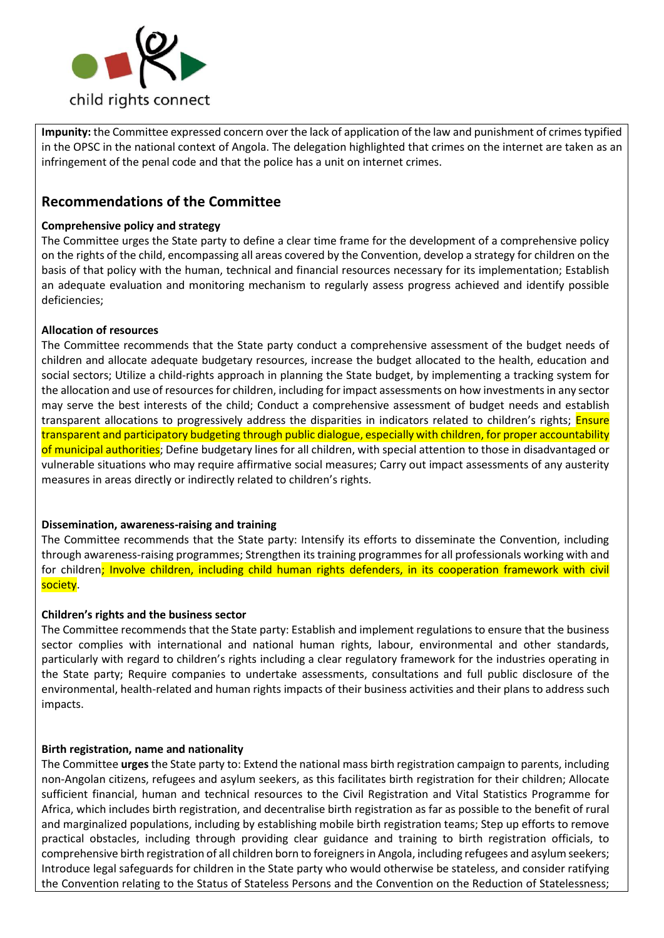

**Impunity:** the Committee expressed concern over the lack of application of the law and punishment of crimes typified in the OPSC in the national context of Angola. The delegation highlighted that crimes on the internet are taken as an infringement of the penal code and that the police has a unit on internet crimes.

## **Recommendations of the Committee**

#### **Comprehensive policy and strategy**

The Committee urges the State party to define a clear time frame for the development of a comprehensive policy on the rights of the child, encompassing all areas covered by the Convention, develop a strategy for children on the basis of that policy with the human, technical and financial resources necessary for its implementation; Establish an adequate evaluation and monitoring mechanism to regularly assess progress achieved and identify possible deficiencies;

#### **Allocation of resources**

The Committee recommends that the State party conduct a comprehensive assessment of the budget needs of children and allocate adequate budgetary resources, increase the budget allocated to the health, education and social sectors; Utilize a child-rights approach in planning the State budget, by implementing a tracking system for the allocation and use of resources for children, including for impact assessments on how investments in any sector may serve the best interests of the child; Conduct a comprehensive assessment of budget needs and establish transparent allocations to progressively address the disparities in indicators related to children's rights; Ensure transparent and participatory budgeting through public dialogue, especially with children, for proper accountability of municipal authorities; Define budgetary lines for all children, with special attention to those in disadvantaged or vulnerable situations who may require affirmative social measures; Carry out impact assessments of any austerity measures in areas directly or indirectly related to children's rights.

#### **Dissemination, awareness-raising and training**

The Committee recommends that the State party: Intensify its efforts to disseminate the Convention, including through awareness-raising programmes; Strengthen its training programmes for all professionals working with and for children; Involve children, including child human rights defenders, in its cooperation framework with civil society.

#### **Children's rights and the business sector**

The Committee recommends that the State party: Establish and implement regulations to ensure that the business sector complies with international and national human rights, labour, environmental and other standards, particularly with regard to children's rights including a clear regulatory framework for the industries operating in the State party; Require companies to undertake assessments, consultations and full public disclosure of the environmental, health-related and human rights impacts of their business activities and their plans to address such impacts.

#### **Birth registration, name and nationality**

The Committee **urges** the State party to: Extend the national mass birth registration campaign to parents, including non-Angolan citizens, refugees and asylum seekers, as this facilitates birth registration for their children; Allocate sufficient financial, human and technical resources to the Civil Registration and Vital Statistics Programme for Africa, which includes birth registration, and decentralise birth registration as far as possible to the benefit of rural and marginalized populations, including by establishing mobile birth registration teams; Step up efforts to remove practical obstacles, including through providing clear guidance and training to birth registration officials, to comprehensive birth registration of all children born to foreigners in Angola, including refugees and asylum seekers; Introduce legal safeguards for children in the State party who would otherwise be stateless, and consider ratifying the Convention relating to the Status of Stateless Persons and the Convention on the Reduction of Statelessness;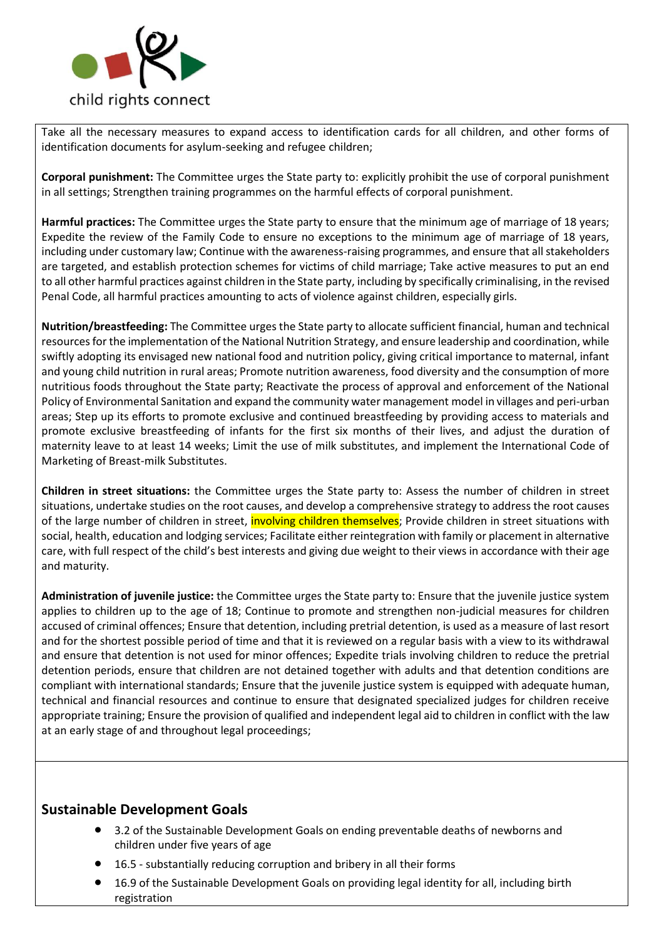

Take all the necessary measures to expand access to identification cards for all children, and other forms of identification documents for asylum-seeking and refugee children;

**Corporal punishment:** The Committee urges the State party to: explicitly prohibit the use of corporal punishment in all settings; Strengthen training programmes on the harmful effects of corporal punishment.

**Harmful practices:** The Committee urges the State party to ensure that the minimum age of marriage of 18 years; Expedite the review of the Family Code to ensure no exceptions to the minimum age of marriage of 18 years, including under customary law; Continue with the awareness-raising programmes, and ensure that all stakeholders are targeted, and establish protection schemes for victims of child marriage; Take active measures to put an end to all other harmful practices against children in the State party, including by specifically criminalising, in the revised Penal Code, all harmful practices amounting to acts of violence against children, especially girls.

**Nutrition/breastfeeding:** The Committee urges the State party to allocate sufficient financial, human and technical resources for the implementation of the National Nutrition Strategy, and ensure leadership and coordination, while swiftly adopting its envisaged new national food and nutrition policy, giving critical importance to maternal, infant and young child nutrition in rural areas; Promote nutrition awareness, food diversity and the consumption of more nutritious foods throughout the State party; Reactivate the process of approval and enforcement of the National Policy of Environmental Sanitation and expand the community water management model in villages and peri-urban areas; Step up its efforts to promote exclusive and continued breastfeeding by providing access to materials and promote exclusive breastfeeding of infants for the first six months of their lives, and adjust the duration of maternity leave to at least 14 weeks; Limit the use of milk substitutes, and implement the International Code of Marketing of Breast-milk Substitutes.

**Children in street situations:** the Committee urges the State party to: Assess the number of children in street situations, undertake studies on the root causes, and develop a comprehensive strategy to address the root causes of the large number of children in street, **involving children themselves**; Provide children in street situations with social, health, education and lodging services; Facilitate either reintegration with family or placement in alternative care, with full respect of the child's best interests and giving due weight to their views in accordance with their age and maturity.

**Administration of juvenile justice:** the Committee urges the State party to: Ensure that the juvenile justice system applies to children up to the age of 18; Continue to promote and strengthen non-judicial measures for children accused of criminal offences; Ensure that detention, including pretrial detention, is used as a measure of last resort and for the shortest possible period of time and that it is reviewed on a regular basis with a view to its withdrawal and ensure that detention is not used for minor offences; Expedite trials involving children to reduce the pretrial detention periods, ensure that children are not detained together with adults and that detention conditions are compliant with international standards; Ensure that the juvenile justice system is equipped with adequate human, technical and financial resources and continue to ensure that designated specialized judges for children receive appropriate training; Ensure the provision of qualified and independent legal aid to children in conflict with the law at an early stage of and throughout legal proceedings;

## **Sustainable Development Goals**

- 3.2 of the Sustainable Development Goals on ending preventable deaths of newborns and children under five years of age
- 16.5 substantially reducing corruption and bribery in all their forms
- 16.9 of the Sustainable Development Goals on providing legal identity for all, including birth registration